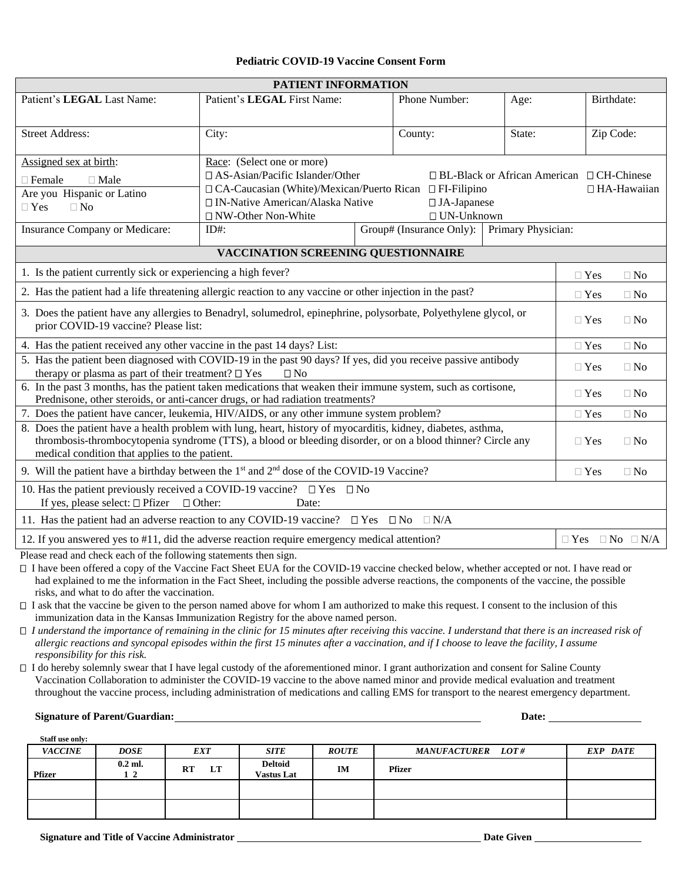#### **Pediatric COVID-19 Vaccine Consent Form**

| PATIENT INFORMATION                                                                                                                                                                                                                                                                                                                                                                                                                                                                                                                                                                                                                                                                                                                                                                                                                                                                                                                                                                                                                                                                                                                |                                                                                                                                                                                                                                                                                                                                                                         |  |               |           |                          |                                                                                                         |            |  |
|------------------------------------------------------------------------------------------------------------------------------------------------------------------------------------------------------------------------------------------------------------------------------------------------------------------------------------------------------------------------------------------------------------------------------------------------------------------------------------------------------------------------------------------------------------------------------------------------------------------------------------------------------------------------------------------------------------------------------------------------------------------------------------------------------------------------------------------------------------------------------------------------------------------------------------------------------------------------------------------------------------------------------------------------------------------------------------------------------------------------------------|-------------------------------------------------------------------------------------------------------------------------------------------------------------------------------------------------------------------------------------------------------------------------------------------------------------------------------------------------------------------------|--|---------------|-----------|--------------------------|---------------------------------------------------------------------------------------------------------|------------|--|
| Patient's LEGAL Last Name:                                                                                                                                                                                                                                                                                                                                                                                                                                                                                                                                                                                                                                                                                                                                                                                                                                                                                                                                                                                                                                                                                                         | Patient's LEGAL First Name:                                                                                                                                                                                                                                                                                                                                             |  | Phone Number: |           | Age:                     |                                                                                                         | Birthdate: |  |
| <b>Street Address:</b>                                                                                                                                                                                                                                                                                                                                                                                                                                                                                                                                                                                                                                                                                                                                                                                                                                                                                                                                                                                                                                                                                                             | City:<br>County:<br>State:                                                                                                                                                                                                                                                                                                                                              |  |               | Zip Code: |                          |                                                                                                         |            |  |
| Assigned sex at birth:<br>$\Box$ Female<br>$\Box$ Male<br>Are you Hispanic or Latino<br>$\Box$ Yes<br>$\Box$ No<br>Insurance Company or Medicare:                                                                                                                                                                                                                                                                                                                                                                                                                                                                                                                                                                                                                                                                                                                                                                                                                                                                                                                                                                                  | Race: (Select one or more)<br>$\Box$ AS-Asian/Pacific Islander/Other<br>$\Box$ BL-Black or African American $\Box$ CH-Chinese<br>$\Box$ CA-Caucasian (White)/Mexican/Puerto Rican $\Box$ FI-Filipino<br>□ IN-Native American/Alaska Native<br>$\Box$ JA-Japanese<br>□ NW-Other Non-White<br>$\Box$ UN-Unknown<br>Group# (Insurance Only): Primary Physician:<br>$ID#$ : |  |               |           | $\Box$ HA-Hawaiian       |                                                                                                         |            |  |
| VACCINATION SCREENING QUESTIONNAIRE                                                                                                                                                                                                                                                                                                                                                                                                                                                                                                                                                                                                                                                                                                                                                                                                                                                                                                                                                                                                                                                                                                |                                                                                                                                                                                                                                                                                                                                                                         |  |               |           |                          |                                                                                                         |            |  |
| 1. Is the patient currently sick or experiencing a high fever?<br>$\Box$ Yes<br>2. Has the patient had a life threatening allergic reaction to any vaccine or other injection in the past?<br>$\Box$ Yes<br>3. Does the patient have any allergies to Benadryl, solumedrol, epinephrine, polysorbate, Polyethylene glycol, or<br>$\Box$ Yes<br>prior COVID-19 vaccine? Please list:<br>4. Has the patient received any other vaccine in the past 14 days? List:<br>$\Box$ Yes<br>5. Has the patient been diagnosed with COVID-19 in the past 90 days? If yes, did you receive passive antibody<br>$\Box$ Yes<br>therapy or plasma as part of their treatment? $\Box$ Yes<br>$\Box$ No<br>6. In the past 3 months, has the patient taken medications that weaken their immune system, such as cortisone,<br>$\Box$ Yes<br>Prednisone, other steroids, or anti-cancer drugs, or had radiation treatments?<br>7. Does the patient have cancer, leukemia, HIV/AIDS, or any other immune system problem?<br>$\Box$ Yes<br>8. Does the patient have a health problem with lung, heart, history of myocarditis, kidney, diabetes, asthma, |                                                                                                                                                                                                                                                                                                                                                                         |  |               |           |                          | $\Box$ No<br>$\Box$ No<br>$\Box$ No<br>$\Box$ No<br>$\Box$ No<br>$\Box$ No<br>$\square$ No<br>$\Box$ No |            |  |
| thrombosis-thrombocytopenia syndrome (TTS), a blood or bleeding disorder, or on a blood thinner? Circle any<br>medical condition that applies to the patient.<br>9. Will the patient have a birthday between the $1st$ and $2nd$ dose of the COVID-19 Vaccine?                                                                                                                                                                                                                                                                                                                                                                                                                                                                                                                                                                                                                                                                                                                                                                                                                                                                     |                                                                                                                                                                                                                                                                                                                                                                         |  |               |           | $\Box$ Yes<br>$\Box$ Yes |                                                                                                         | $\Box$ No  |  |
| 10. Has the patient previously received a COVID-19 vaccine? $\Box$ Yes $\Box$ No<br>If yes, please select: $\Box$ Pfizer $\Box$ Other:<br>11. Has the patient had an adverse reaction to any COVID-19 vaccine? $\square$ Yes $\square$ No $\square$ N/A                                                                                                                                                                                                                                                                                                                                                                                                                                                                                                                                                                                                                                                                                                                                                                                                                                                                            | Date:                                                                                                                                                                                                                                                                                                                                                                   |  |               |           |                          |                                                                                                         |            |  |
| 12. If you answered yes to #11, did the adverse reaction require emergency medical attention?                                                                                                                                                                                                                                                                                                                                                                                                                                                                                                                                                                                                                                                                                                                                                                                                                                                                                                                                                                                                                                      |                                                                                                                                                                                                                                                                                                                                                                         |  |               |           |                          | $\Box$ Yes $\Box$ No $\Box$ N/A                                                                         |            |  |
| Please read and check each of the following statements then sign.                                                                                                                                                                                                                                                                                                                                                                                                                                                                                                                                                                                                                                                                                                                                                                                                                                                                                                                                                                                                                                                                  |                                                                                                                                                                                                                                                                                                                                                                         |  |               |           |                          |                                                                                                         |            |  |

 I have been offered a copy of the Vaccine Fact Sheet EUA for the COVID-19 vaccine checked below, whether accepted or not. I have read or had explained to me the information in the Fact Sheet, including the possible adverse reactions, the components of the vaccine, the possible risks, and what to do after the vaccination.

□ I ask that the vaccine be given to the person named above for whom I am authorized to make this request. I consent to the inclusion of this immunization data in the Kansas Immunization Registry for the above named person.

*I understand the importance of remaining in the clinic for 15 minutes after receiving this vaccine. I understand that there is an increased risk of allergic reactions and syncopal episodes within the first 15 minutes after a vaccination, and if I choose to leave the facility, I assume responsibility for this risk.*

 I do hereby solemnly swear that I have legal custody of the aforementioned minor. I grant authorization and consent for Saline County Vaccination Collaboration to administer the COVID-19 vaccine to the above named minor and provide medical evaluation and treatment throughout the vaccine process, including administration of medications and calling EMS for transport to the nearest emergency department.

**Signature of Parent/Guardian: Date: Date: Date: Date: Date: Date: Date: Date: Date: Date: Date: Date: Date: Date: Date: Date: Date: Date: Date: Date: Date: Date: Date: Date:** 

| Staff use only: |                 |                 |                                     |              |                          |          |
|-----------------|-----------------|-----------------|-------------------------------------|--------------|--------------------------|----------|
| <b>VACCINE</b>  | <b>DOSE</b>     | <b>EXT</b>      | <b>SITE</b>                         | <b>ROUTE</b> | <b>MANUFACTURER</b> LOT# | EXP DATE |
| <b>Pfizer</b>   | $0.2$ ml.<br>12 | LT<br><b>RT</b> | <b>Deltoid</b><br><b>Vastus Lat</b> | IM           | <b>Pfizer</b>            |          |
|                 |                 |                 |                                     |              |                          |          |
|                 |                 |                 |                                     |              |                          |          |